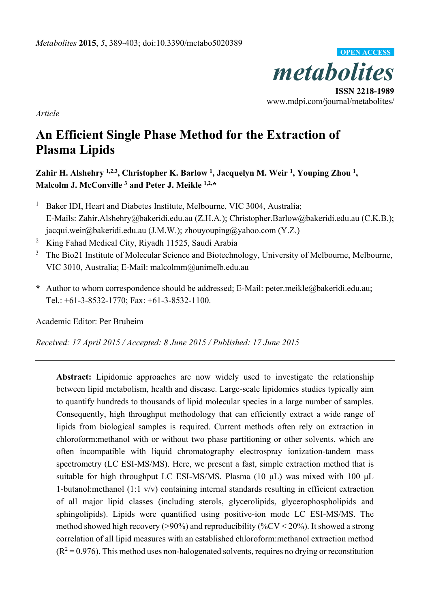

*Article* 

# **An Efficient Single Phase Method for the Extraction of Plasma Lipids**

Zahir H. Alshehry <sup>1,2,3</sup>, Christopher K. Barlow <sup>1</sup>, Jacquelyn M. Weir <sup>1</sup>, Youping Zhou <sup>1</sup>, **Malcolm J. McConville 3 and Peter J. Meikle 1,2,\*** 

- 1 Baker IDI, Heart and Diabetes Institute, Melbourne, VIC 3004, Australia; E-Mails: Zahir.Alshehry@bakeridi.edu.au (Z.H.A.); Christopher.Barlow@bakeridi.edu.au (C.K.B.); jacqui.weir@bakeridi.edu.au (J.M.W.); zhouyouping@yahoo.com (Y.Z.)
- 2 King Fahad Medical City, Riyadh 11525, Saudi Arabia
- 3 The Bio21 Institute of Molecular Science and Biotechnology, University of Melbourne, Melbourne, VIC 3010, Australia; E-Mail: malcolmm@unimelb.edu.au
- **\*** Author to whom correspondence should be addressed; E-Mail: peter.meikle@bakeridi.edu.au; Tel.: +61-3-8532-1770; Fax: +61-3-8532-1100.

Academic Editor: Per Bruheim

*Received: 17 April 2015 / Accepted: 8 June 2015 / Published: 17 June 2015* 

**Abstract:** Lipidomic approaches are now widely used to investigate the relationship between lipid metabolism, health and disease. Large-scale lipidomics studies typically aim to quantify hundreds to thousands of lipid molecular species in a large number of samples. Consequently, high throughput methodology that can efficiently extract a wide range of lipids from biological samples is required. Current methods often rely on extraction in chloroform:methanol with or without two phase partitioning or other solvents, which are often incompatible with liquid chromatography electrospray ionization-tandem mass spectrometry (LC ESI-MS/MS). Here, we present a fast, simple extraction method that is suitable for high throughput LC ESI-MS/MS. Plasma (10 μL) was mixed with 100 μL 1-butanol:methanol (1:1 v/v) containing internal standards resulting in efficient extraction of all major lipid classes (including sterols, glycerolipids, glycerophospholipids and sphingolipids). Lipids were quantified using positive-ion mode LC ESI-MS/MS. The method showed high recovery ( $>90\%$ ) and reproducibility ( $\%$ CV < 20%). It showed a strong correlation of all lipid measures with an established chloroform:methanol extraction method  $(R<sup>2</sup>=0.976)$ . This method uses non-halogenated solvents, requires no drying or reconstitution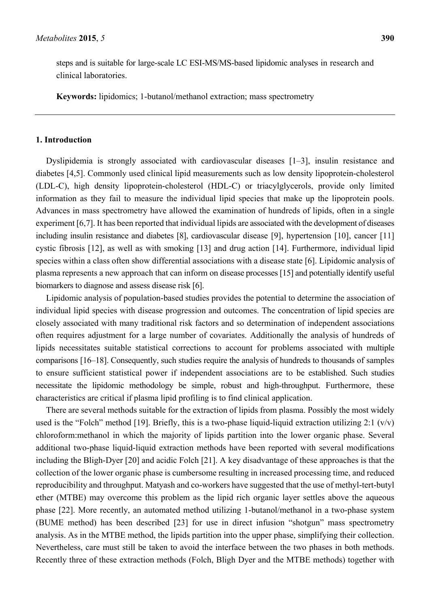steps and is suitable for large-scale LC ESI-MS/MS-based lipidomic analyses in research and clinical laboratories.

**Keywords:** lipidomics; 1-butanol/methanol extraction; mass spectrometry

### **1. Introduction**

Dyslipidemia is strongly associated with cardiovascular diseases [1–3], insulin resistance and diabetes [4,5]. Commonly used clinical lipid measurements such as low density lipoprotein-cholesterol (LDL-C), high density lipoprotein-cholesterol (HDL-C) or triacylglycerols, provide only limited information as they fail to measure the individual lipid species that make up the lipoprotein pools. Advances in mass spectrometry have allowed the examination of hundreds of lipids, often in a single experiment [6,7]. It has been reported that individual lipids are associated with the development of diseases including insulin resistance and diabetes [8], cardiovascular disease [9], hypertension [10], cancer [11] cystic fibrosis [12], as well as with smoking [13] and drug action [14]. Furthermore, individual lipid species within a class often show differential associations with a disease state [6]. Lipidomic analysis of plasma represents a new approach that can inform on disease processes [15] and potentially identify useful biomarkers to diagnose and assess disease risk [6].

Lipidomic analysis of population-based studies provides the potential to determine the association of individual lipid species with disease progression and outcomes. The concentration of lipid species are closely associated with many traditional risk factors and so determination of independent associations often requires adjustment for a large number of covariates. Additionally the analysis of hundreds of lipids necessitates suitable statistical corrections to account for problems associated with multiple comparisons [16–18]. Consequently, such studies require the analysis of hundreds to thousands of samples to ensure sufficient statistical power if independent associations are to be established. Such studies necessitate the lipidomic methodology be simple, robust and high-throughput. Furthermore, these characteristics are critical if plasma lipid profiling is to find clinical application.

There are several methods suitable for the extraction of lipids from plasma. Possibly the most widely used is the "Folch" method [19]. Briefly, this is a two-phase liquid-liquid extraction utilizing 2:1  $(v/v)$ chloroform:methanol in which the majority of lipids partition into the lower organic phase. Several additional two-phase liquid-liquid extraction methods have been reported with several modifications including the Bligh-Dyer [20] and acidic Folch [21]. A key disadvantage of these approaches is that the collection of the lower organic phase is cumbersome resulting in increased processing time, and reduced reproducibility and throughput. Matyash and co-workers have suggested that the use of methyl-tert-butyl ether (MTBE) may overcome this problem as the lipid rich organic layer settles above the aqueous phase [22]. More recently, an automated method utilizing 1-butanol/methanol in a two-phase system (BUME method) has been described [23] for use in direct infusion "shotgun" mass spectrometry analysis. As in the MTBE method, the lipids partition into the upper phase, simplifying their collection. Nevertheless, care must still be taken to avoid the interface between the two phases in both methods. Recently three of these extraction methods (Folch, Bligh Dyer and the MTBE methods) together with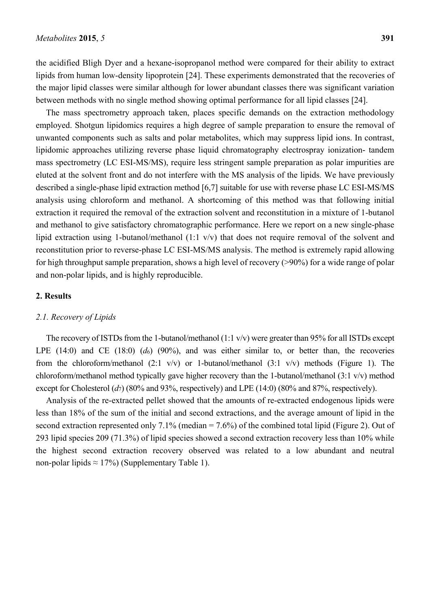the acidified Bligh Dyer and a hexane-isopropanol method were compared for their ability to extract lipids from human low-density lipoprotein [24]. These experiments demonstrated that the recoveries of the major lipid classes were similar although for lower abundant classes there was significant variation between methods with no single method showing optimal performance for all lipid classes [24].

The mass spectrometry approach taken, places specific demands on the extraction methodology employed. Shotgun lipidomics requires a high degree of sample preparation to ensure the removal of unwanted components such as salts and polar metabolites, which may suppress lipid ions. In contrast, lipidomic approaches utilizing reverse phase liquid chromatography electrospray ionization- tandem mass spectrometry (LC ESI-MS/MS), require less stringent sample preparation as polar impurities are eluted at the solvent front and do not interfere with the MS analysis of the lipids. We have previously described a single-phase lipid extraction method [6,7] suitable for use with reverse phase LC ESI-MS/MS analysis using chloroform and methanol. A shortcoming of this method was that following initial extraction it required the removal of the extraction solvent and reconstitution in a mixture of 1-butanol and methanol to give satisfactory chromatographic performance. Here we report on a new single-phase lipid extraction using 1-butanol/methanol (1:1 v/v) that does not require removal of the solvent and reconstitution prior to reverse-phase LC ESI-MS/MS analysis. The method is extremely rapid allowing for high throughput sample preparation, shows a high level of recovery (>90%) for a wide range of polar and non-polar lipids, and is highly reproducible.

## **2. Results**

## *2.1. Recovery of Lipids*

The recovery of ISTDs from the 1-butanol/methanol (1:1 v/v) were greater than 95% for all ISTDs except LPE (14:0) and CE (18:0) (*d*6) (90%), and was either similar to, or better than, the recoveries from the chloroform/methanol  $(2:1 \text{ v/v})$  or 1-butanol/methanol  $(3:1 \text{ v/v})$  methods (Figure 1). The chloroform/methanol method typically gave higher recovery than the 1-butanol/methanol (3:1 v/v) method except for Cholesterol (*d*<sub>7</sub>) (80% and 93%, respectively) and LPE (14:0) (80% and 87%, respectively).

Analysis of the re-extracted pellet showed that the amounts of re-extracted endogenous lipids were less than 18% of the sum of the initial and second extractions, and the average amount of lipid in the second extraction represented only  $7.1\%$  (median  $= 7.6\%$ ) of the combined total lipid (Figure 2). Out of 293 lipid species 209 (71.3%) of lipid species showed a second extraction recovery less than 10% while the highest second extraction recovery observed was related to a low abundant and neutral non-polar lipids  $\approx 17\%$ ) (Supplementary Table 1).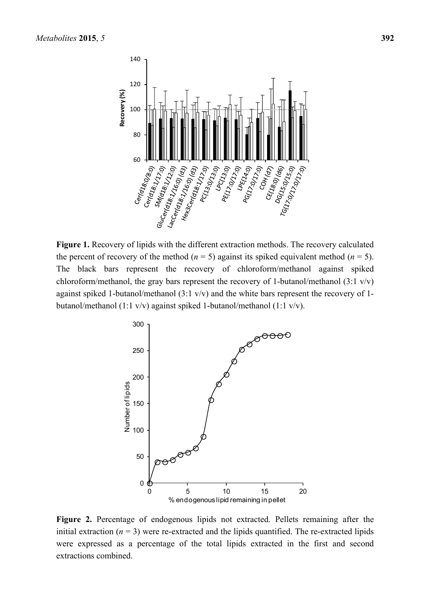

**Figure 1.** Recovery of lipids with the different extraction methods. The recovery calculated the percent of recovery of the method ( $n = 5$ ) against its spiked equivalent method ( $n = 5$ ). The black bars represent the recovery of chloroform/methanol against spiked chloroform/methanol, the gray bars represent the recovery of 1-butanol/methanol (3:1 v/v) against spiked 1-butanol/methanol (3:1 v/v) and the white bars represent the recovery of 1 butanol/methanol (1:1 v/v) against spiked 1-butanol/methanol (1:1 v/v).



**Figure 2.** Percentage of endogenous lipids not extracted. Pellets remaining after the initial extraction  $(n = 3)$  were re-extracted and the lipids quantified. The re-extracted lipids were expressed as a percentage of the total lipids extracted in the first and second extractions combined.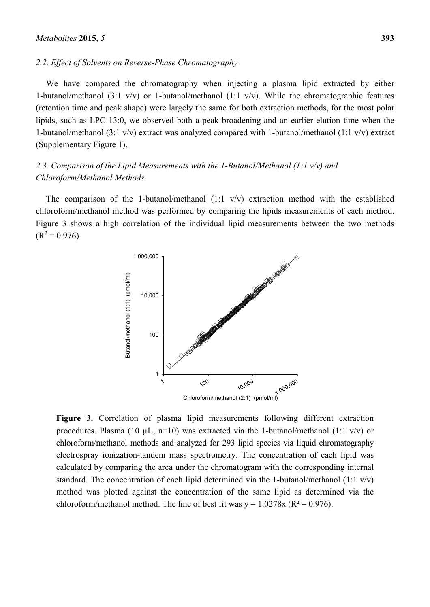#### *2.2. Effect of Solvents on Reverse-Phase Chromatography*

We have compared the chromatography when injecting a plasma lipid extracted by either 1-butanol/methanol (3:1 v/v) or 1-butanol/methanol (1:1 v/v). While the chromatographic features (retention time and peak shape) were largely the same for both extraction methods, for the most polar lipids, such as LPC 13:0, we observed both a peak broadening and an earlier elution time when the 1-butanol/methanol (3:1 v/v) extract was analyzed compared with 1-butanol/methanol (1:1 v/v) extract (Supplementary Figure 1).

## *2.3. Comparison of the Lipid Measurements with the 1-Butanol/Methanol (1:1 v/v) and Chloroform/Methanol Methods*

The comparison of the 1-butanol/methanol  $(1:1 \text{ v/v})$  extraction method with the established chloroform/methanol method was performed by comparing the lipids measurements of each method. Figure 3 shows a high correlation of the individual lipid measurements between the two methods  $(R<sup>2</sup> = 0.976)$ .



**Figure 3.** Correlation of plasma lipid measurements following different extraction procedures. Plasma (10  $\mu$ L, n=10) was extracted via the 1-butanol/methanol (1:1 v/v) or chloroform/methanol methods and analyzed for 293 lipid species via liquid chromatography electrospray ionization-tandem mass spectrometry. The concentration of each lipid was calculated by comparing the area under the chromatogram with the corresponding internal standard. The concentration of each lipid determined via the 1-butanol/methanol (1:1 v/v) method was plotted against the concentration of the same lipid as determined via the chloroform/methanol method. The line of best fit was  $y = 1.0278x$  ( $R^2 = 0.976$ ).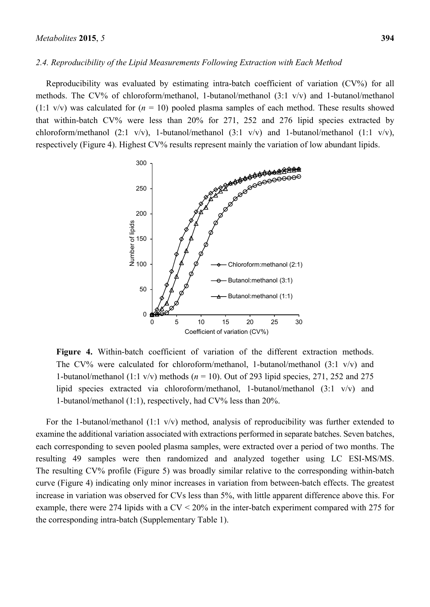#### *2.4. Reproducibility of the Lipid Measurements Following Extraction with Each Method*

Reproducibility was evaluated by estimating intra-batch coefficient of variation (CV%) for all methods. The CV% of chloroform/methanol, 1-butanol/methanol (3:1 v/v) and 1-butanol/methanol  $(1:1 \text{ v/v})$  was calculated for  $(n = 10)$  pooled plasma samples of each method. These results showed that within-batch CV% were less than 20% for 271, 252 and 276 lipid species extracted by chloroform/methanol (2:1 v/v), 1-butanol/methanol (3:1 v/v) and 1-butanol/methanol (1:1 v/v), respectively (Figure 4). Highest CV% results represent mainly the variation of low abundant lipids.



**Figure 4.** Within-batch coefficient of variation of the different extraction methods. The CV% were calculated for chloroform/methanol, 1-butanol/methanol  $(3:1 \text{ v/v})$  and 1-butanol/methanol (1:1 v/v) methods (*n* = 10). Out of 293 lipid species, 271, 252 and 275 lipid species extracted via chloroform/methanol, 1-butanol/methanol (3:1 v/v) and 1-butanol/methanol (1:1), respectively, had CV% less than 20%.

For the 1-butanol/methanol (1:1 v/v) method, analysis of reproducibility was further extended to examine the additional variation associated with extractions performed in separate batches. Seven batches, each corresponding to seven pooled plasma samples, were extracted over a period of two months. The resulting 49 samples were then randomized and analyzed together using LC ESI-MS/MS. The resulting CV% profile (Figure 5) was broadly similar relative to the corresponding within-batch curve (Figure 4) indicating only minor increases in variation from between-batch effects. The greatest increase in variation was observed for CVs less than 5%, with little apparent difference above this. For example, there were 274 lipids with a CV < 20% in the inter-batch experiment compared with 275 for the corresponding intra-batch (Supplementary Table 1).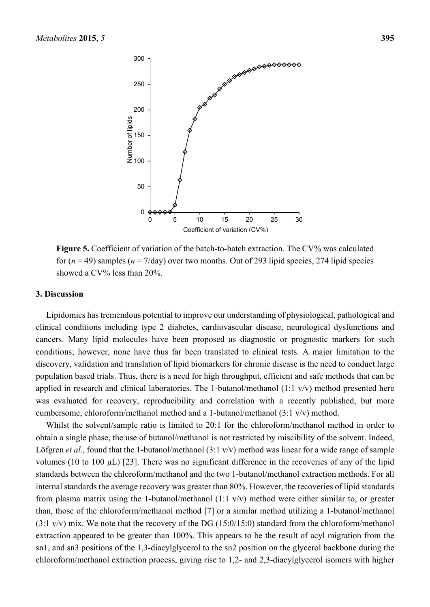

**Figure 5.** Coefficient of variation of the batch-to-batch extraction. The CV% was calculated for  $(n = 49)$  samples  $(n = 7/day)$  over two months. Out of 293 lipid species, 274 lipid species showed a CV% less than 20%.

#### **3. Discussion**

Lipidomics has tremendous potential to improve our understanding of physiological, pathological and clinical conditions including type 2 diabetes, cardiovascular disease, neurological dysfunctions and cancers. Many lipid molecules have been proposed as diagnostic or prognostic markers for such conditions; however, none have thus far been translated to clinical tests. A major limitation to the discovery, validation and translation of lipid biomarkers for chronic disease is the need to conduct large population based trials. Thus, there is a need for high throughput, efficient and safe methods that can be applied in research and clinical laboratories. The 1-butanol/methanol (1:1 v/v) method presented here was evaluated for recovery, reproducibility and correlation with a recently published, but more cumbersome, chloroform/methanol method and a 1-butanol/methanol (3:1 v/v) method.

Whilst the solvent/sample ratio is limited to 20:1 for the chloroform/methanol method in order to obtain a single phase, the use of butanol/methanol is not restricted by miscibility of the solvent. Indeed, Löfgren *et al.*, found that the 1-butanol/methanol (3:1 v/v) method was linear for a wide range of sample volumes (10 to 100 μL) [23]. There was no significant difference in the recoveries of any of the lipid standards between the chloroform/methanol and the two 1-butanol/methanol extraction methods. For all internal standards the average recovery was greater than 80%. However, the recoveries of lipid standards from plasma matrix using the 1-butanol/methanol (1:1 v/v) method were either similar to, or greater than, those of the chloroform/methanol method [7] or a similar method utilizing a 1-butanol/methanol  $(3.1 \text{ v/v})$  mix. We note that the recovery of the DG  $(15:0/15:0)$  standard from the chloroform/methanol extraction appeared to be greater than 100%. This appears to be the result of acyl migration from the sn1, and sn3 positions of the 1,3-diacylglycerol to the sn2 position on the glycerol backbone during the chloroform/methanol extraction process, giving rise to 1,2- and 2,3-diacylglycerol isomers with higher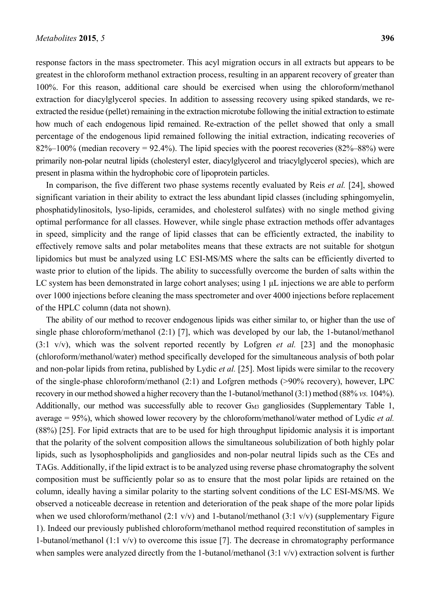response factors in the mass spectrometer. This acyl migration occurs in all extracts but appears to be greatest in the chloroform methanol extraction process, resulting in an apparent recovery of greater than 100%. For this reason, additional care should be exercised when using the chloroform/methanol extraction for diacylglycerol species. In addition to assessing recovery using spiked standards, we re-

extracted the residue (pellet) remaining in the extraction microtube following the initial extraction to estimate how much of each endogenous lipid remained. Re-extraction of the pellet showed that only a small percentage of the endogenous lipid remained following the initial extraction, indicating recoveries of  $82\% - 100\%$  (median recovery = 92.4%). The lipid species with the poorest recoveries  $(82\% - 88\%)$  were primarily non-polar neutral lipids (cholesteryl ester, diacylglycerol and triacylglycerol species), which are present in plasma within the hydrophobic core of lipoprotein particles.

In comparison, the five different two phase systems recently evaluated by Reis *et al.* [24], showed significant variation in their ability to extract the less abundant lipid classes (including sphingomyelin, phosphatidylinositols, lyso-lipids, ceramides, and cholesterol sulfates) with no single method giving optimal performance for all classes. However, while single phase extraction methods offer advantages in speed, simplicity and the range of lipid classes that can be efficiently extracted, the inability to effectively remove salts and polar metabolites means that these extracts are not suitable for shotgun lipidomics but must be analyzed using LC ESI-MS/MS where the salts can be efficiently diverted to waste prior to elution of the lipids. The ability to successfully overcome the burden of salts within the LC system has been demonstrated in large cohort analyses; using 1 μL injections we are able to perform over 1000 injections before cleaning the mass spectrometer and over 4000 injections before replacement of the HPLC column (data not shown).

The ability of our method to recover endogenous lipids was either similar to, or higher than the use of single phase chloroform/methanol (2:1) [7], which was developed by our lab, the 1-butanol/methanol (3:1 v/v), which was the solvent reported recently by Lofgren *et al.* [23] and the monophasic (chloroform/methanol/water) method specifically developed for the simultaneous analysis of both polar and non-polar lipids from retina, published by Lydic *et al.* [25]. Most lipids were similar to the recovery of the single-phase chloroform/methanol (2:1) and Lofgren methods (>90% recovery), however, LPC recovery in our method showed a higher recovery than the 1-butanol/methanol (3:1) method (88% *vs.* 104%). Additionally, our method was successfully able to recover G<sub>M3</sub> gangliosides (Supplementary Table 1, average = 95%), which showed lower recovery by the chloroform/methanol/water method of Lydic *et al.* (88%) [25]. For lipid extracts that are to be used for high throughput lipidomic analysis it is important that the polarity of the solvent composition allows the simultaneous solubilization of both highly polar lipids, such as lysophospholipids and gangliosides and non-polar neutral lipids such as the CEs and TAGs. Additionally, if the lipid extract is to be analyzed using reverse phase chromatography the solvent composition must be sufficiently polar so as to ensure that the most polar lipids are retained on the column, ideally having a similar polarity to the starting solvent conditions of the LC ESI-MS/MS. We observed a noticeable decrease in retention and deterioration of the peak shape of the more polar lipids when we used chloroform/methanol (2:1 v/v) and 1-butanol/methanol (3:1 v/v) (supplementary Figure 1). Indeed our previously published chloroform/methanol method required reconstitution of samples in 1-butanol/methanol (1:1 v/v) to overcome this issue [7]. The decrease in chromatography performance when samples were analyzed directly from the 1-butanol/methanol (3:1 v/v) extraction solvent is further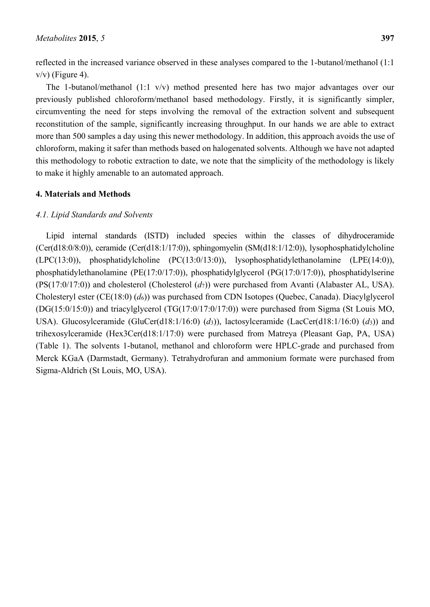reflected in the increased variance observed in these analyses compared to the 1-butanol/methanol (1:1  $v/v$ ) (Figure 4).

The 1-butanol/methanol (1:1 v/v) method presented here has two major advantages over our previously published chloroform/methanol based methodology. Firstly, it is significantly simpler, circumventing the need for steps involving the removal of the extraction solvent and subsequent reconstitution of the sample, significantly increasing throughput. In our hands we are able to extract more than 500 samples a day using this newer methodology. In addition, this approach avoids the use of chloroform, making it safer than methods based on halogenated solvents. Although we have not adapted this methodology to robotic extraction to date, we note that the simplicity of the methodology is likely to make it highly amenable to an automated approach.

## **4. Materials and Methods**

## *4.1. Lipid Standards and Solvents*

Lipid internal standards (ISTD) included species within the classes of dihydroceramide (Cer(d18:0/8:0)), ceramide (Cer(d18:1/17:0)), sphingomyelin (SM(d18:1/12:0)), lysophosphatidylcholine (LPC(13:0)), phosphatidylcholine (PC(13:0/13:0)), lysophosphatidylethanolamine (LPE(14:0)), phosphatidylethanolamine (PE(17:0/17:0)), phosphatidylglycerol (PG(17:0/17:0)), phosphatidylserine (PS(17:0/17:0)) and cholesterol (Cholesterol (*d*7)) were purchased from Avanti (Alabaster AL, USA). Cholesteryl ester (CE(18:0) (*d*6)) was purchased from CDN Isotopes (Quebec, Canada). Diacylglycerol (DG(15:0/15:0)) and triacylglycerol (TG(17:0/17:0/17:0)) were purchased from Sigma (St Louis MO, USA). Glucosylceramide (GluCer(d18:1/16:0) (*d*3)), lactosylceramide (LacCer(d18:1/16:0) (*d*3)) and trihexosylceramide (Hex3Cer(d18:1/17:0) were purchased from Matreya (Pleasant Gap, PA, USA) (Table 1). The solvents 1-butanol, methanol and chloroform were HPLC-grade and purchased from Merck KGaA (Darmstadt, Germany). Tetrahydrofuran and ammonium formate were purchased from Sigma-Aldrich (St Louis, MO, USA).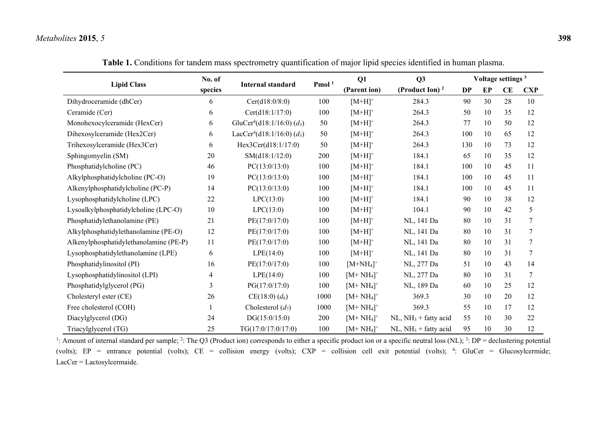| <b>Lipid Class</b>                     | No. of<br>species | <b>Internal standard</b>                           | Pmol <sup>1</sup> | Q1           | Q <sub>3</sub>         | Voltage settings <sup>3</sup> |    |    |            |
|----------------------------------------|-------------------|----------------------------------------------------|-------------------|--------------|------------------------|-------------------------------|----|----|------------|
|                                        |                   |                                                    |                   | (Parent ion) | (Product Ion) $2$      | <b>DP</b>                     | EP | CE | <b>CXP</b> |
| Dihydroceramide (dhCer)                | 6                 | Cer(d18:0/8:0)                                     | 100               | $[M+H]^+$    | 284.3                  | 90                            | 30 | 28 | 10         |
| Ceramide (Cer)                         | 6                 | Cer(d18:1/17:0)                                    | 100               | $[M+H]^+$    | 264.3                  | 50                            | 10 | 35 | 12         |
| Monohexocylceramide (HexCer)           | 6                 | GluCer <sup>4</sup> (d18:1/16:0) $(d_3)$           | 50                | $[M+H]^+$    | 264.3                  | 77                            | 10 | 50 | 12         |
| Dihexosylceramide (Hex2Cer)            | 6                 | LacCer <sup>4</sup> (d18:1/16:0) (d <sub>3</sub> ) | 50                | $[M+H]^+$    | 264.3                  | 100                           | 10 | 65 | 12         |
| Trihexosylceramide (Hex3Cer)           | 6                 | Hex3Cer(d18:1/17:0)                                | 50                | $[M+H]^+$    | 264.3                  | 130                           | 10 | 73 | 12         |
| Sphingomyelin (SM)                     | 20                | SM(d18:1/12:0)                                     | 200               | $[M+H]^+$    | 184.1                  | 65                            | 10 | 35 | 12         |
| Phosphatidylcholine (PC)               | 46                | PC(13:0/13:0)                                      | 100               | $[M+H]^+$    | 184.1                  | 100                           | 10 | 45 | 11         |
| Alkylphosphatidylcholine (PC-O)        | 19                | PC(13:0/13:0)                                      | 100               | $[M+H]^+$    | 184.1                  | 100                           | 10 | 45 | 11         |
| Alkenylphosphatidylcholine (PC-P)      | 14                | PC(13:0/13:0)                                      | 100               | $[M+H]^+$    | 184.1                  | 100                           | 10 | 45 | 11         |
| Lysophosphatidylcholine (LPC)          | 22                | LPC(13:0)                                          | 100               | $[M+H]^+$    | 184.1                  | 90                            | 10 | 38 | 12         |
| Lysoalkylphosphatidylcholine (LPC-O)   | 10                | LPC(13:0)                                          | 100               | $[M+H]^+$    | 104.1                  | 90                            | 10 | 42 | 5          |
| Phosphatidylethanolamine (PE)          | 21                | PE(17:0/17:0)                                      | 100               | $[M+H]^+$    | NL, 141 Da             | 80                            | 10 | 31 | 7          |
| Alkylphosphatidylethanolamine (PE-O)   | 12                | PE(17:0/17:0)                                      | 100               | $[M+H]^+$    | NL, 141 Da             | 80                            | 10 | 31 | 7          |
| Alkenylphosphatidylethanolamine (PE-P) | 11                | PE(17:0/17:0)                                      | 100               | $[M+H]^+$    | NL, 141 Da             | 80                            | 10 | 31 | 7          |
| Lysophosphatidylethanolamine (LPE)     | 6                 | LPE(14:0)                                          | 100               | $[M+H]^+$    | NL, 141 Da             | 80                            | 10 | 31 | 7          |
| Phosphatidylinositol (PI)              | 16                | PE(17:0/17:0)                                      | 100               | $[M+NH_4]^+$ | NL, 277 Da             | 51                            | 10 | 43 | 14         |
| Lysophosphatidylinositol (LPI)         | 4                 | LPE(14:0)                                          | 100               | $[M+NH_4]^+$ | NL, 277 Da             | 80                            | 10 | 31 | $\tau$     |
| Phosphatidylglycerol (PG)              | 3                 | PG(17:0/17:0)                                      | 100               | $[M+NH_4]^+$ | NL, 189 Da             | 60                            | 10 | 25 | 12         |
| Cholesteryl ester (CE)                 | 26                | $CE(18:0)$ $(d_6)$                                 | 1000              | $[M+NH_4]^+$ | 369.3                  | 30                            | 10 | 20 | 12         |
| Free cholesterol (COH)                 |                   | Cholesterol $(d_7)$                                | 1000              | $[M+NH_4]^+$ | 369.3                  | 55                            | 10 | 17 | 12         |
| Diacylglycerol (DG)                    | 24                | DG(15:0/15:0)                                      | 200               | $[M+NH_4]^+$ | $NL, NH3 + fatty acid$ | 55                            | 10 | 30 | 22         |
| Triacylglycerol (TG)                   | 25                | TG(17:0/17:0/17:0)                                 | 100               | $[M+NH_4]^+$ | $NL, NH3 + fatty acid$ | 95                            | 10 | 30 | 12         |

**Table 1.** Conditions for tandem mass spectrometry quantification of major lipid species identified in human plasma.

<sup>1</sup>: Amount of internal standard per sample; <sup>2</sup>: The Q3 (Product ion) corresponds to either a specific product ion or a specific neutral loss (NL); <sup>3</sup>: DP = declustering potential (volts); EP = entrance potential (volts); CE = collision energy (volts); CXP = collision cell exit potential (volts); <sup>4</sup>: GluCer = Glucosylcermide; LacCer = Lactosylcermaide.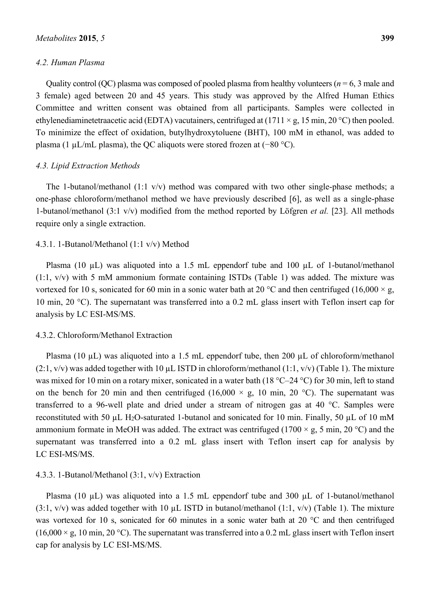## *4.2. Human Plasma*

Quality control (QC) plasma was composed of pooled plasma from healthy volunteers ( $n = 6, 3$  male and 3 female) aged between 20 and 45 years. This study was approved by the Alfred Human Ethics Committee and written consent was obtained from all participants. Samples were collected in ethylenediaminetetraacetic acid (EDTA) vacutainers, centrifuged at (1711  $\times$  g, 15 min, 20 °C) then pooled. To minimize the effect of oxidation, butylhydroxytoluene (BHT), 100 mM in ethanol, was added to plasma (1 µL/mL plasma), the QC aliquots were stored frozen at (−80 °C).

#### *4.3. Lipid Extraction Methods*

The 1-butanol/methanol (1:1 v/v) method was compared with two other single-phase methods; a one-phase chloroform/methanol method we have previously described [6], as well as a single-phase 1-butanol/methanol (3:1 v/v) modified from the method reported by Löfgren *et al.* [23]. All methods require only a single extraction.

#### 4.3.1. 1-Butanol/Methanol (1:1 v/v) Method

Plasma (10 µL) was aliquoted into a 1.5 mL eppendorf tube and 100 µL of 1-butanol/methanol (1:1, v/v) with 5 mM ammonium formate containing ISTDs (Table 1) was added. The mixture was vortexed for 10 s, sonicated for 60 min in a sonic water bath at 20 °C and then centrifuged (16,000  $\times$  g, 10 min, 20 °C). The supernatant was transferred into a 0.2 mL glass insert with Teflon insert cap for analysis by LC ESI-MS/MS.

## 4.3.2. Chloroform/Methanol Extraction

Plasma (10 µL) was aliquoted into a 1.5 mL eppendorf tube, then 200 µL of chloroform/methanol  $(2:1, v/v)$  was added together with 10 µL ISTD in chloroform/methanol  $(1:1, v/v)$  (Table 1). The mixture was mixed for 10 min on a rotary mixer, sonicated in a water bath (18 °C–24 °C) for 30 min, left to stand on the bench for 20 min and then centrifuged (16,000  $\times$  g, 10 min, 20 °C). The supernatant was transferred to a 96-well plate and dried under a stream of nitrogen gas at 40 °C. Samples were reconstituted with 50 µL H2O-saturated 1-butanol and sonicated for 10 min. Finally, 50 µL of 10 mM ammonium formate in MeOH was added. The extract was centrifuged (1700  $\times$  g, 5 min, 20 °C) and the supernatant was transferred into a 0.2 mL glass insert with Teflon insert cap for analysis by LC ESI-MS/MS.

#### 4.3.3. 1-Butanol/Methanol (3:1, v/v) Extraction

Plasma (10 µL) was aliquoted into a 1.5 mL eppendorf tube and 300 µL of 1-butanol/methanol  $(3:1, v/v)$  was added together with 10 µL ISTD in butanol/methanol  $(1:1, v/v)$  (Table 1). The mixture was vortexed for 10 s, sonicated for 60 minutes in a sonic water bath at 20 °C and then centrifuged  $(16,000 \times g, 10 \text{ min}, 20 \degree C)$ . The supernatant was transferred into a 0.2 mL glass insert with Teflon insert cap for analysis by LC ESI-MS/MS.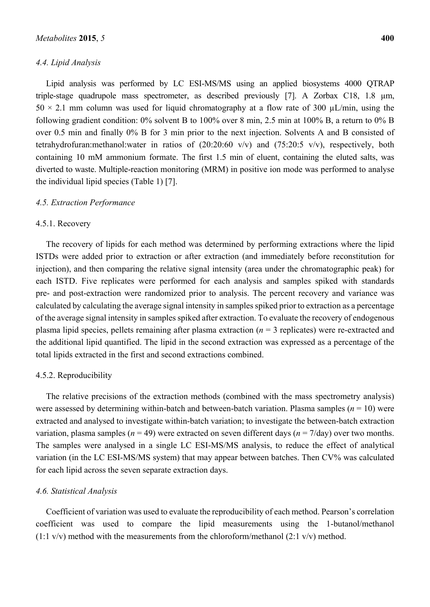## *4.4. Lipid Analysis*

Lipid analysis was performed by LC ESI-MS/MS using an applied biosystems 4000 QTRAP triple-stage quadrupole mass spectrometer, as described previously [7]. A Zorbax C18, 1.8 µm,  $50 \times 2.1$  mm column was used for liquid chromatography at a flow rate of 300  $\mu$ L/min, using the following gradient condition: 0% solvent B to 100% over 8 min, 2.5 min at 100% B, a return to 0% B over 0.5 min and finally 0% B for 3 min prior to the next injection. Solvents A and B consisted of tetrahydrofuran:methanol:water in ratios of (20:20:60 v/v) and (75:20:5 v/v), respectively, both containing 10 mM ammonium formate. The first 1.5 min of eluent, containing the eluted salts, was diverted to waste. Multiple-reaction monitoring (MRM) in positive ion mode was performed to analyse the individual lipid species (Table 1) [7].

#### *4.5. Extraction Performance*

#### 4.5.1. Recovery

The recovery of lipids for each method was determined by performing extractions where the lipid ISTDs were added prior to extraction or after extraction (and immediately before reconstitution for injection), and then comparing the relative signal intensity (area under the chromatographic peak) for each ISTD. Five replicates were performed for each analysis and samples spiked with standards pre- and post-extraction were randomized prior to analysis. The percent recovery and variance was calculated by calculating the average signal intensity in samples spiked prior to extraction as a percentage of the average signal intensity in samples spiked after extraction. To evaluate the recovery of endogenous plasma lipid species, pellets remaining after plasma extraction (*n* = 3 replicates) were re-extracted and the additional lipid quantified. The lipid in the second extraction was expressed as a percentage of the total lipids extracted in the first and second extractions combined.

#### 4.5.2. Reproducibility

The relative precisions of the extraction methods (combined with the mass spectrometry analysis) were assessed by determining within-batch and between-batch variation. Plasma samples ( $n = 10$ ) were extracted and analysed to investigate within-batch variation; to investigate the between-batch extraction variation, plasma samples ( $n = 49$ ) were extracted on seven different days ( $n = 7$ /day) over two months. The samples were analysed in a single LC ESI-MS/MS analysis, to reduce the effect of analytical variation (in the LC ESI-MS/MS system) that may appear between batches. Then CV% was calculated for each lipid across the seven separate extraction days.

### *4.6. Statistical Analysis*

Coefficient of variation was used to evaluate the reproducibility of each method. Pearson's correlation coefficient was used to compare the lipid measurements using the 1-butanol/methanol  $(1:1 \text{ v/v})$  method with the measurements from the chloroform/methanol  $(2:1 \text{ v/v})$  method.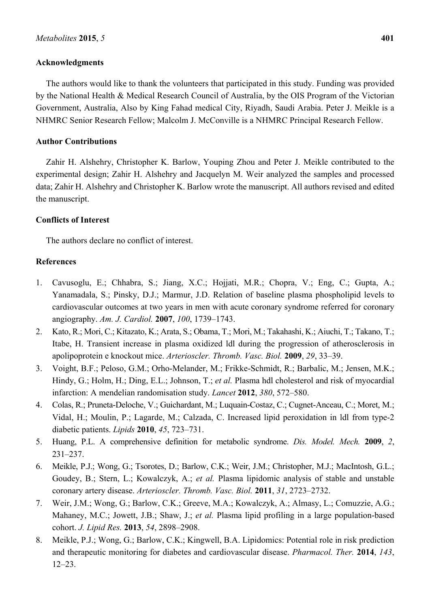## **Acknowledgments**

The authors would like to thank the volunteers that participated in this study. Funding was provided by the National Health & Medical Research Council of Australia, by the OIS Program of the Victorian Government, Australia, Also by King Fahad medical City, Riyadh, Saudi Arabia. Peter J. Meikle is a NHMRC Senior Research Fellow; Malcolm J. McConville is a NHMRC Principal Research Fellow.

## **Author Contributions**

Zahir H. Alshehry, Christopher K. Barlow, Youping Zhou and Peter J. Meikle contributed to the experimental design; Zahir H. Alshehry and Jacquelyn M. Weir analyzed the samples and processed data; Zahir H. Alshehry and Christopher K. Barlow wrote the manuscript. All authors revised and edited the manuscript.

## **Conflicts of Interest**

The authors declare no conflict of interest.

## **References**

- 1. Cavusoglu, E.; Chhabra, S.; Jiang, X.C.; Hojjati, M.R.; Chopra, V.; Eng, C.; Gupta, A.; Yanamadala, S.; Pinsky, D.J.; Marmur, J.D. Relation of baseline plasma phospholipid levels to cardiovascular outcomes at two years in men with acute coronary syndrome referred for coronary angiography. *Am. J. Cardiol.* **2007**, *100*, 1739–1743.
- 2. Kato, R.; Mori, C.; Kitazato, K.; Arata, S.; Obama, T.; Mori, M.; Takahashi, K.; Aiuchi, T.; Takano, T.; Itabe, H. Transient increase in plasma oxidized ldl during the progression of atherosclerosis in apolipoprotein e knockout mice. *Arterioscler. Thromb. Vasc. Biol.* **2009**, *29*, 33–39.
- 3. Voight, B.F.; Peloso, G.M.; Orho-Melander, M.; Frikke-Schmidt, R.; Barbalic, M.; Jensen, M.K.; Hindy, G.; Holm, H.; Ding, E.L.; Johnson, T.; *et al.* Plasma hdl cholesterol and risk of myocardial infarction: A mendelian randomisation study. *Lancet* **2012**, *380*, 572–580.
- 4. Colas, R.; Pruneta-Deloche, V.; Guichardant, M.; Luquain-Costaz, C.; Cugnet-Anceau, C.; Moret, M.; Vidal, H.; Moulin, P.; Lagarde, M.; Calzada, C. Increased lipid peroxidation in ldl from type-2 diabetic patients. *Lipids* **2010**, *45*, 723–731.
- 5. Huang, P.L. A comprehensive definition for metabolic syndrome. *Dis. Model. Mech.* **2009**, *2*, 231–237.
- 6. Meikle, P.J.; Wong, G.; Tsorotes, D.; Barlow, C.K.; Weir, J.M.; Christopher, M.J.; MacIntosh, G.L.; Goudey, B.; Stern, L.; Kowalczyk, A.; *et al.* Plasma lipidomic analysis of stable and unstable coronary artery disease. *Arterioscler. Thromb. Vasc. Biol.* **2011**, *31*, 2723–2732.
- 7. Weir, J.M.; Wong, G.; Barlow, C.K.; Greeve, M.A.; Kowalczyk, A.; Almasy, L.; Comuzzie, A.G.; Mahaney, M.C.; Jowett, J.B.; Shaw, J.; *et al.* Plasma lipid profiling in a large population-based cohort. *J. Lipid Res.* **2013**, *54*, 2898–2908.
- 8. Meikle, P.J.; Wong, G.; Barlow, C.K.; Kingwell, B.A. Lipidomics: Potential role in risk prediction and therapeutic monitoring for diabetes and cardiovascular disease. *Pharmacol. Ther.* **2014**, *143*, 12–23.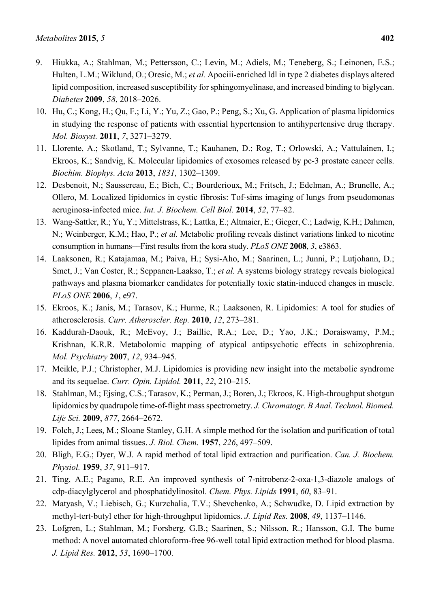- 9. Hiukka, A.; Stahlman, M.; Pettersson, C.; Levin, M.; Adiels, M.; Teneberg, S.; Leinonen, E.S.; Hulten, L.M.; Wiklund, O.; Oresic, M.; *et al.* Apociii-enriched ldl in type 2 diabetes displays altered lipid composition, increased susceptibility for sphingomyelinase, and increased binding to biglycan. *Diabetes* **2009**, *58*, 2018–2026.
- 10. Hu, C.; Kong, H.; Qu, F.; Li, Y.; Yu, Z.; Gao, P.; Peng, S.; Xu, G. Application of plasma lipidomics in studying the response of patients with essential hypertension to antihypertensive drug therapy. *Mol. Biosyst.* **2011**, *7*, 3271–3279.
- 11. Llorente, A.; Skotland, T.; Sylvanne, T.; Kauhanen, D.; Rog, T.; Orlowski, A.; Vattulainen, I.; Ekroos, K.; Sandvig, K. Molecular lipidomics of exosomes released by pc-3 prostate cancer cells. *Biochim. Biophys. Acta* **2013**, *1831*, 1302–1309.
- 12. Desbenoit, N.; Saussereau, E.; Bich, C.; Bourderioux, M.; Fritsch, J.; Edelman, A.; Brunelle, A.; Ollero, M. Localized lipidomics in cystic fibrosis: Tof-sims imaging of lungs from pseudomonas aeruginosa-infected mice. *Int. J. Biochem. Cell Biol.* **2014**, *52*, 77–82.
- 13. Wang-Sattler, R.; Yu, Y.; Mittelstrass, K.; Lattka, E.; Altmaier, E.; Gieger, C.; Ladwig, K.H.; Dahmen, N.; Weinberger, K.M.; Hao, P.; *et al.* Metabolic profiling reveals distinct variations linked to nicotine consumption in humans––First results from the kora study. *PLoS ONE* **2008**, *3*, e3863.
- 14. Laaksonen, R.; Katajamaa, M.; Paiva, H.; Sysi-Aho, M.; Saarinen, L.; Junni, P.; Lutjohann, D.; Smet, J.; Van Coster, R.; Seppanen-Laakso, T.; *et al.* A systems biology strategy reveals biological pathways and plasma biomarker candidates for potentially toxic statin-induced changes in muscle. *PLoS ONE* **2006**, *1*, e97.
- 15. Ekroos, K.; Janis, M.; Tarasov, K.; Hurme, R.; Laaksonen, R. Lipidomics: A tool for studies of atherosclerosis. *Curr. Atheroscler. Rep.* **2010**, *12*, 273–281.
- 16. Kaddurah-Daouk, R.; McEvoy, J.; Baillie, R.A.; Lee, D.; Yao, J.K.; Doraiswamy, P.M.; Krishnan, K.R.R. Metabolomic mapping of atypical antipsychotic effects in schizophrenia. *Mol. Psychiatry* **2007**, *12*, 934–945.
- 17. Meikle, P.J.; Christopher, M.J. Lipidomics is providing new insight into the metabolic syndrome and its sequelae. *Curr. Opin. Lipidol.* **2011**, *22*, 210–215.
- 18. Stahlman, M.; Ejsing, C.S.; Tarasov, K.; Perman, J.; Boren, J.; Ekroos, K. High-throughput shotgun lipidomics by quadrupole time-of-flight mass spectrometry. *J. Chromatogr. B Anal. Technol. Biomed. Life Sci.* **2009**, *877*, 2664–2672.
- 19. Folch, J.; Lees, M.; Sloane Stanley, G.H. A simple method for the isolation and purification of total lipides from animal tissues. *J. Biol. Chem.* **1957**, *226*, 497–509.
- 20. Bligh, E.G.; Dyer, W.J. A rapid method of total lipid extraction and purification. *Can. J. Biochem. Physiol.* **1959**, *37*, 911–917.
- 21. Ting, A.E.; Pagano, R.E. An improved synthesis of 7-nitrobenz-2-oxa-1,3-diazole analogs of cdp-diacylglycerol and phosphatidylinositol. *Chem. Phys. Lipids* **1991**, *60*, 83–91.
- 22. Matyash, V.; Liebisch, G.; Kurzchalia, T.V.; Shevchenko, A.; Schwudke, D. Lipid extraction by methyl-tert-butyl ether for high-throughput lipidomics. *J. Lipid Res.* **2008**, *49*, 1137–1146.
- 23. Lofgren, L.; Stahlman, M.; Forsberg, G.B.; Saarinen, S.; Nilsson, R.; Hansson, G.I. The bume method: A novel automated chloroform-free 96-well total lipid extraction method for blood plasma. *J. Lipid Res.* **2012**, *53*, 1690–1700.